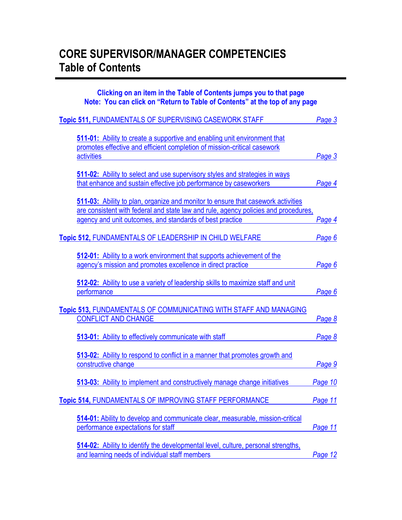### <span id="page-0-1"></span>**CORE SUPERVISOR/MANAGER COMPETENCIES Table of Contents**

### **Clicking on an item in the Table of Contents jumps you to that page Note: You can click on "Return to Table of Contents" at the top of any page Topic 511,** [FUNDAMENTALS OF SUPERVISING CASEWORK STAFF](#page-2-0) *Page 3* **511-01:** Ability to [create a supportive and enabling unit environment that](#page-0-0) [promotes effective and efficient completion of mission-critical casework](#page-0-0)<br>activities

<span id="page-0-0"></span>

| activities                                                                                     | Page 3  |
|------------------------------------------------------------------------------------------------|---------|
| 511-02: Ability to select and use supervisory styles and strategies in ways                    |         |
| that enhance and sustain effective job performance by caseworkers                              | Page 4  |
| 511-03: Ability to plan, organize and monitor to ensure that casework activities               |         |
| are consistent with federal and state law and rule, agency policies and procedures,            |         |
| agency and unit outcomes, and standards of best practice                                       | Page 4  |
| Topic 512, FUNDAMENTALS OF LEADERSHIP IN CHILD WELFARE                                         | Page 6  |
| 512-01: Ability to a work environment that supports achievement of the                         |         |
| agency's mission and promotes excellence in direct practice                                    | Page 6  |
| 512-02: Ability to use a variety of leadership skills to maximize staff and unit               |         |
| performance                                                                                    | Page 6  |
|                                                                                                |         |
| Topic 513, FUNDAMENTALS OF COMMUNICATING WITH STAFF AND MANAGING<br><b>CONFLICT AND CHANGE</b> | Page 8  |
| 513-01: Ability to effectively communicate with staff                                          | Page 8  |
| 513-02: Ability to respond to conflict in a manner that promotes growth and                    |         |
| constructive change                                                                            | Page 9  |
| 513-03: Ability to implement and constructively manage change initiatives                      | Page 10 |
| Topic 514, FUNDAMENTALS OF IMPROVING STAFF PERFORMANCE                                         | Page 11 |
| 514-01: Ability to develop and communicate clear, measurable, mission-critical                 |         |
| performance expectations for staff                                                             | Page 11 |
| 514-02: Ability to identify the developmental level, culture, personal strengths,              |         |
| and learning needs of individual staff members                                                 | Page 12 |
|                                                                                                |         |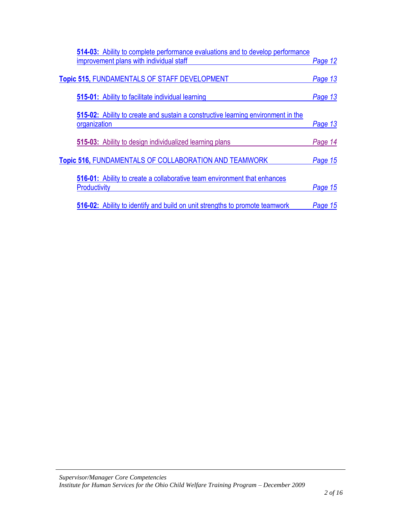| 514-03: Ability to complete performance evaluations and to develop performance                         |         |
|--------------------------------------------------------------------------------------------------------|---------|
| improvement plans with individual staff                                                                | Page 12 |
| <b>Topic 515, FUNDAMENTALS OF STAFF DEVELOPMENT</b>                                                    | Page 13 |
| 515-01: Ability to facilitate individual learning                                                      | Page 13 |
| <b>515-02:</b> Ability to create and sustain a constructive learning environment in the                |         |
| organization                                                                                           | Page 13 |
| 515-03: Ability to design individualized learning plans                                                | Page 14 |
| Topic 516, FUNDAMENTALS OF COLLABORATION AND TEAMWORK                                                  | Page 15 |
| <b>516-01:</b> Ability to create a collaborative team environment that enhances<br><b>Productivity</b> | Page 15 |
| <b>516-02:</b> Ability to identify and build on unit strengths to promote teamwork                     | Page 15 |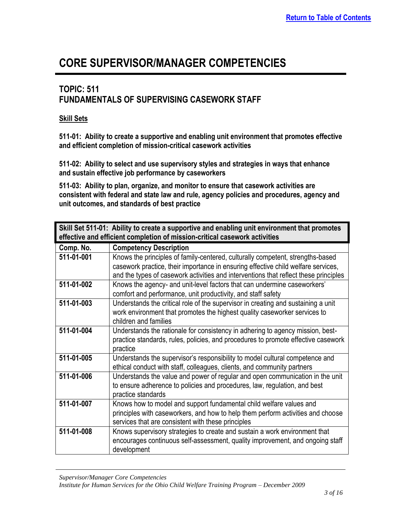### <span id="page-2-0"></span>**TOPIC: 511 FUNDAMENTALS OF SUPERVISING CASEWORK STAFF**

#### **Skill Sets**

**511-01: Ability to create a supportive and enabling unit environment that promotes effective and efficient completion of mission-critical casework activities**

**511-02: Ability to select and use supervisory styles and strategies in ways that enhance and sustain effective job performance by caseworkers**

**511-03: Ability to plan, organize, and monitor to ensure that casework activities are consistent with federal and state law and rule, agency policies and procedures, agency and unit outcomes, and standards of best practice**

| Skill Set 511-01: Ability to create a supportive and enabling unit environment that promotes<br>effective and efficient completion of mission-critical casework activities |                                                                                                                                                                                                                                                             |
|----------------------------------------------------------------------------------------------------------------------------------------------------------------------------|-------------------------------------------------------------------------------------------------------------------------------------------------------------------------------------------------------------------------------------------------------------|
| Comp. No.                                                                                                                                                                  | <b>Competency Description</b>                                                                                                                                                                                                                               |
| 511-01-001                                                                                                                                                                 | Knows the principles of family-centered, culturally competent, strengths-based<br>casework practice, their importance in ensuring effective child welfare services,<br>and the types of casework activities and interventions that reflect these principles |
| 511-01-002                                                                                                                                                                 | Knows the agency- and unit-level factors that can undermine caseworkers'<br>comfort and performance, unit productivity, and staff safety                                                                                                                    |
| 511-01-003                                                                                                                                                                 | Understands the critical role of the supervisor in creating and sustaining a unit<br>work environment that promotes the highest quality caseworker services to<br>children and families                                                                     |
| 511-01-004                                                                                                                                                                 | Understands the rationale for consistency in adhering to agency mission, best-<br>practice standards, rules, policies, and procedures to promote effective casework<br>practice                                                                             |
| 511-01-005                                                                                                                                                                 | Understands the supervisor's responsibility to model cultural competence and<br>ethical conduct with staff, colleagues, clients, and community partners                                                                                                     |
| 511-01-006                                                                                                                                                                 | Understands the value and power of regular and open communication in the unit<br>to ensure adherence to policies and procedures, law, regulation, and best<br>practice standards                                                                            |
| 511-01-007                                                                                                                                                                 | Knows how to model and support fundamental child welfare values and<br>principles with caseworkers, and how to help them perform activities and choose<br>services that are consistent with these principles                                                |
| 511-01-008                                                                                                                                                                 | Knows supervisory strategies to create and sustain a work environment that<br>encourages continuous self-assessment, quality improvement, and ongoing staff<br>development                                                                                  |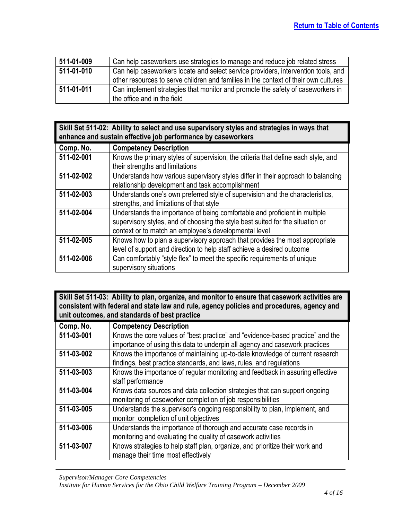| 511-01-009 | Can help caseworkers use strategies to manage and reduce job related stress                                                                                              |
|------------|--------------------------------------------------------------------------------------------------------------------------------------------------------------------------|
| 511-01-010 | Can help caseworkers locate and select service providers, intervention tools, and<br>other resources to serve children and families in the context of their own cultures |
| 511-01-011 | Can implement strategies that monitor and promote the safety of caseworkers in<br>the office and in the field                                                            |

<span id="page-3-0"></span>

| Skill Set 511-02: Ability to select and use supervisory styles and strategies in ways that<br>enhance and sustain effective job performance by caseworkers |                                                                                                                                                                                                                       |  |
|------------------------------------------------------------------------------------------------------------------------------------------------------------|-----------------------------------------------------------------------------------------------------------------------------------------------------------------------------------------------------------------------|--|
| Comp. No.                                                                                                                                                  | <b>Competency Description</b>                                                                                                                                                                                         |  |
| 511-02-001                                                                                                                                                 | Knows the primary styles of supervision, the criteria that define each style, and<br>their strengths and limitations                                                                                                  |  |
| 511-02-002                                                                                                                                                 | Understands how various supervisory styles differ in their approach to balancing<br>relationship development and task accomplishment                                                                                  |  |
| 511-02-003                                                                                                                                                 | Understands one's own preferred style of supervision and the characteristics,<br>strengths, and limitations of that style                                                                                             |  |
| 511-02-004                                                                                                                                                 | Understands the importance of being comfortable and proficient in multiple<br>supervisory styles, and of choosing the style best suited for the situation or<br>context or to match an employee's developmental level |  |
| 511-02-005                                                                                                                                                 | Knows how to plan a supervisory approach that provides the most appropriate<br>level of support and direction to help staff achieve a desired outcome                                                                 |  |
| 511-02-006                                                                                                                                                 | Can comfortably "style flex" to meet the specific requirements of unique<br>supervisory situations                                                                                                                    |  |

<span id="page-3-1"></span>**Skill Set 511-03: Ability to plan, organize, and monitor to ensure that casework activities are consistent with federal and state law and rule, agency policies and procedures, agency and unit outcomes, and standards of best practice**

| Comp. No.  | <b>Competency Description</b>                                                  |
|------------|--------------------------------------------------------------------------------|
| 511-03-001 | Knows the core values of "best practice" and "evidence-based practice" and the |
|            | importance of using this data to underpin all agency and casework practices    |
| 511-03-002 | Knows the importance of maintaining up-to-date knowledge of current research   |
|            | findings, best practice standards, and laws, rules, and regulations            |
| 511-03-003 | Knows the importance of regular monitoring and feedback in assuring effective  |
|            | staff performance                                                              |
| 511-03-004 | Knows data sources and data collection strategies that can support ongoing     |
|            | monitoring of caseworker completion of job responsibilities                    |
| 511-03-005 | Understands the supervisor's ongoing responsibility to plan, implement, and    |
|            | monitor completion of unit objectives                                          |
| 511-03-006 | Understands the importance of thorough and accurate case records in            |
|            | monitoring and evaluating the quality of casework activities                   |
| 511-03-007 | Knows strategies to help staff plan, organize, and prioritize their work and   |
|            | manage their time most effectively                                             |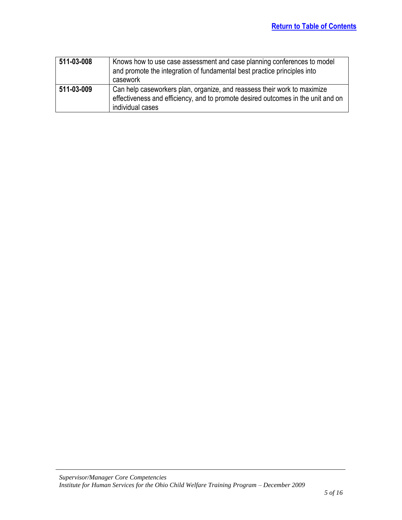| 511-03-008 | Knows how to use case assessment and case planning conferences to model<br>and promote the integration of fundamental best practice principles into<br>casework                  |
|------------|----------------------------------------------------------------------------------------------------------------------------------------------------------------------------------|
| 511-03-009 | Can help caseworkers plan, organize, and reassess their work to maximize<br>effectiveness and efficiency, and to promote desired outcomes in the unit and on<br>individual cases |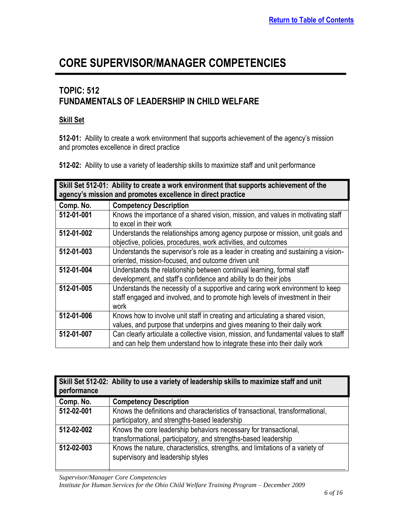### <span id="page-5-0"></span>**TOPIC: 512 FUNDAMENTALS OF LEADERSHIP IN CHILD WELFARE**

#### **Skill Set**

**512-01:** Ability to create a work environment that supports achievement of the agency's mission and promotes excellence in direct practice

**512-02:** Ability to use a variety of leadership skills to maximize staff and unit performance

<span id="page-5-1"></span>

| Skill Set 512-01: Ability to create a work environment that supports achievement of the<br>agency's mission and promotes excellence in direct practice |                                                                                      |
|--------------------------------------------------------------------------------------------------------------------------------------------------------|--------------------------------------------------------------------------------------|
| Comp. No.                                                                                                                                              | <b>Competency Description</b>                                                        |
| 512-01-001                                                                                                                                             | Knows the importance of a shared vision, mission, and values in motivating staff     |
|                                                                                                                                                        | to excel in their work                                                               |
| 512-01-002                                                                                                                                             | Understands the relationships among agency purpose or mission, unit goals and        |
|                                                                                                                                                        | objective, policies, procedures, work activities, and outcomes                       |
| 512-01-003                                                                                                                                             | Understands the supervisor's role as a leader in creating and sustaining a vision-   |
|                                                                                                                                                        | oriented, mission-focused, and outcome driven unit                                   |
| 512-01-004                                                                                                                                             | Understands the relationship between continual learning, formal staff                |
|                                                                                                                                                        | development, and staff's confidence and ability to do their jobs                     |
| 512-01-005                                                                                                                                             | Understands the necessity of a supportive and caring work environment to keep        |
|                                                                                                                                                        | staff engaged and involved, and to promote high levels of investment in their        |
|                                                                                                                                                        | work                                                                                 |
| 512-01-006                                                                                                                                             | Knows how to involve unit staff in creating and articulating a shared vision,        |
|                                                                                                                                                        | values, and purpose that underpins and gives meaning to their daily work             |
| 512-01-007                                                                                                                                             | Can clearly articulate a collective vision, mission, and fundamental values to staff |
|                                                                                                                                                        | and can help them understand how to integrate these into their daily work            |

<span id="page-5-2"></span>

| performance | Skill Set 512-02: Ability to use a variety of leadership skills to maximize staff and unit                                          |
|-------------|-------------------------------------------------------------------------------------------------------------------------------------|
| Comp. No.   | <b>Competency Description</b>                                                                                                       |
| 512-02-001  | Knows the definitions and characteristics of transactional, transformational,<br>participatory, and strengths-based leadership      |
| 512-02-002  | Knows the core leadership behaviors necessary for transactional,<br>transformational, participatory, and strengths-based leadership |
| 512-02-003  | Knows the nature, characteristics, strengths, and limitations of a variety of<br>supervisory and leadership styles                  |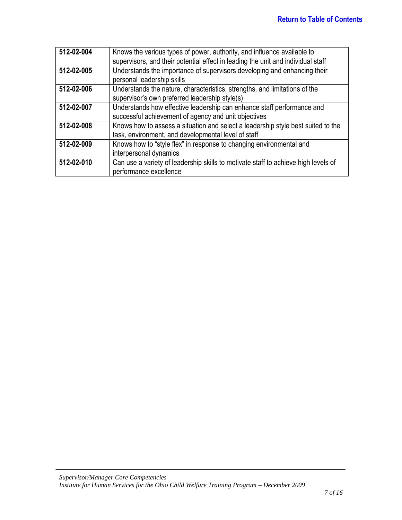| 512-02-004 | Knows the various types of power, authority, and influence available to            |
|------------|------------------------------------------------------------------------------------|
|            | supervisors, and their potential effect in leading the unit and individual staff   |
| 512-02-005 | Understands the importance of supervisors developing and enhancing their           |
|            | personal leadership skills                                                         |
| 512-02-006 | Understands the nature, characteristics, strengths, and limitations of the         |
|            | supervisor's own preferred leadership style(s)                                     |
| 512-02-007 | Understands how effective leadership can enhance staff performance and             |
|            | successful achievement of agency and unit objectives                               |
| 512-02-008 | Knows how to assess a situation and select a leadership style best suited to the   |
|            | task, environment, and developmental level of staff                                |
| 512-02-009 | Knows how to "style flex" in response to changing environmental and                |
|            | interpersonal dynamics                                                             |
| 512-02-010 | Can use a variety of leadership skills to motivate staff to achieve high levels of |
|            | performance excellence                                                             |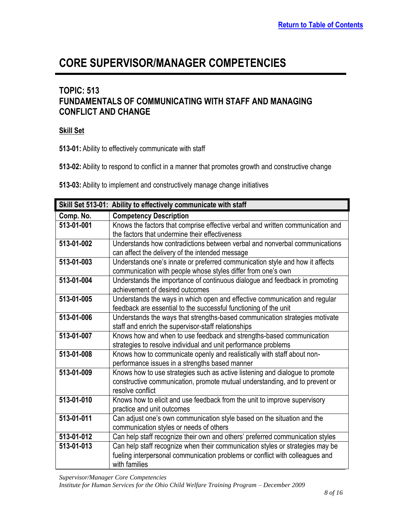### <span id="page-7-0"></span>**TOPIC: 513 FUNDAMENTALS OF COMMUNICATING WITH STAFF AND MANAGING CONFLICT AND CHANGE**

#### **Skill Set**

**513-01:** Ability to effectively communicate with staff

**513-02:** Ability to respond to conflict in a manner that promotes growth and constructive change

**513-03:** Ability to implement and constructively manage change initiatives

<span id="page-7-1"></span>

|                  | Skill Set 513-01: Ability to effectively communicate with staff                |
|------------------|--------------------------------------------------------------------------------|
| Comp. No.        | <b>Competency Description</b>                                                  |
| 513-01-001       | Knows the factors that comprise effective verbal and written communication and |
|                  | the factors that undermine their effectiveness                                 |
| 513-01-002       | Understands how contradictions between verbal and nonverbal communications     |
|                  | can affect the delivery of the intended message                                |
| $513 - 01 - 003$ | Understands one's innate or preferred communication style and how it affects   |
|                  | communication with people whose styles differ from one's own                   |
| 513-01-004       | Understands the importance of continuous dialogue and feedback in promoting    |
|                  | achievement of desired outcomes                                                |
| 513-01-005       | Understands the ways in which open and effective communication and regular     |
|                  | feedback are essential to the successful functioning of the unit               |
| 513-01-006       | Understands the ways that strengths-based communication strategies motivate    |
|                  | staff and enrich the supervisor-staff relationships                            |
| 513-01-007       | Knows how and when to use feedback and strengths-based communication           |
|                  | strategies to resolve individual and unit performance problems                 |
| 513-01-008       | Knows how to communicate openly and realistically with staff about non-        |
|                  | performance issues in a strengths based manner                                 |
| 513-01-009       | Knows how to use strategies such as active listening and dialogue to promote   |
|                  | constructive communication, promote mutual understanding, and to prevent or    |
|                  | resolve conflict                                                               |
| 513-01-010       | Knows how to elicit and use feedback from the unit to improve supervisory      |
|                  | practice and unit outcomes                                                     |
| 513-01-011       | Can adjust one's own communication style based on the situation and the        |
|                  | communication styles or needs of others                                        |
| 513-01-012       | Can help staff recognize their own and others' preferred communication styles  |
| 513-01-013       | Can help staff recognize when their communication styles or strategies may be  |
|                  | fueling interpersonal communication problems or conflict with colleagues and   |
|                  | with families                                                                  |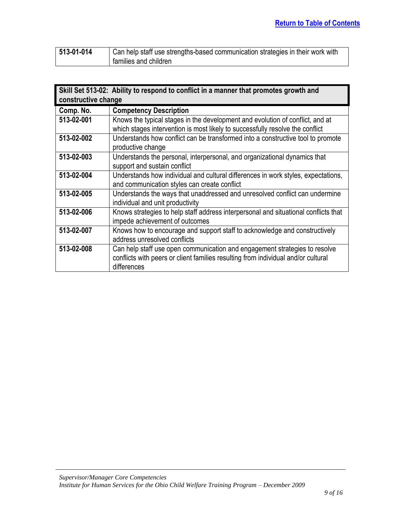| 513-01-014 | Can help staff use strengths-based communication strategies in their work with |
|------------|--------------------------------------------------------------------------------|
|            | families and children                                                          |

<span id="page-8-0"></span>

| Skill Set 513-02: Ability to respond to conflict in a manner that promotes growth and<br>constructive change |                                                                                                                                                                                |
|--------------------------------------------------------------------------------------------------------------|--------------------------------------------------------------------------------------------------------------------------------------------------------------------------------|
| Comp. No.                                                                                                    | <b>Competency Description</b>                                                                                                                                                  |
| 513-02-001                                                                                                   | Knows the typical stages in the development and evolution of conflict, and at<br>which stages intervention is most likely to successfully resolve the conflict                 |
| 513-02-002                                                                                                   | Understands how conflict can be transformed into a constructive tool to promote<br>productive change                                                                           |
| 513-02-003                                                                                                   | Understands the personal, interpersonal, and organizational dynamics that<br>support and sustain conflict                                                                      |
| 513-02-004                                                                                                   | Understands how individual and cultural differences in work styles, expectations,<br>and communication styles can create conflict                                              |
| 513-02-005                                                                                                   | Understands the ways that unaddressed and unresolved conflict can undermine<br>individual and unit productivity                                                                |
| 513-02-006                                                                                                   | Knows strategies to help staff address interpersonal and situational conflicts that<br>impede achievement of outcomes                                                          |
| 513-02-007                                                                                                   | Knows how to encourage and support staff to acknowledge and constructively<br>address unresolved conflicts                                                                     |
| 513-02-008                                                                                                   | Can help staff use open communication and engagement strategies to resolve<br>conflicts with peers or client families resulting from individual and/or cultural<br>differences |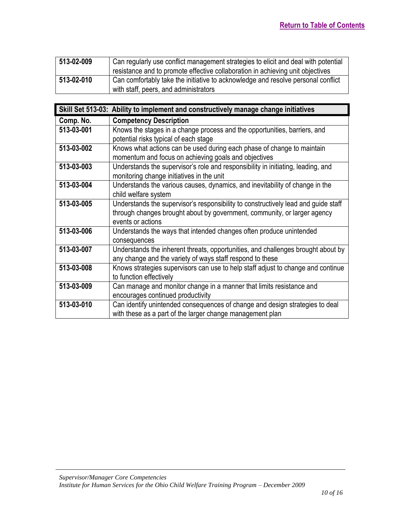| 513-02-009 | Can regularly use conflict management strategies to elicit and deal with potential |
|------------|------------------------------------------------------------------------------------|
|            | resistance and to promote effective collaboration in achieving unit objectives     |
| 513-02-010 | Can comfortably take the initiative to acknowledge and resolve personal conflict   |
|            | with staff, peers, and administrators                                              |

<span id="page-9-0"></span>

|            | Skill Set 513-03: Ability to implement and constructively manage change initiatives |
|------------|-------------------------------------------------------------------------------------|
| Comp. No.  | <b>Competency Description</b>                                                       |
| 513-03-001 | Knows the stages in a change process and the opportunities, barriers, and           |
|            | potential risks typical of each stage                                               |
| 513-03-002 | Knows what actions can be used during each phase of change to maintain              |
|            | momentum and focus on achieving goals and objectives                                |
| 513-03-003 | Understands the supervisor's role and responsibility in initiating, leading, and    |
|            | monitoring change initiatives in the unit                                           |
| 513-03-004 | Understands the various causes, dynamics, and inevitability of change in the        |
|            | child welfare system                                                                |
| 513-03-005 | Understands the supervisor's responsibility to constructively lead and guide staff  |
|            | through changes brought about by government, community, or larger agency            |
|            | events or actions                                                                   |
| 513-03-006 | Understands the ways that intended changes often produce unintended                 |
|            | consequences                                                                        |
| 513-03-007 | Understands the inherent threats, opportunities, and challenges brought about by    |
|            | any change and the variety of ways staff respond to these                           |
| 513-03-008 | Knows strategies supervisors can use to help staff adjust to change and continue    |
|            | to function effectively                                                             |
| 513-03-009 | Can manage and monitor change in a manner that limits resistance and                |
|            | encourages continued productivity                                                   |
| 513-03-010 | Can identify unintended consequences of change and design strategies to deal        |
|            | with these as a part of the larger change management plan                           |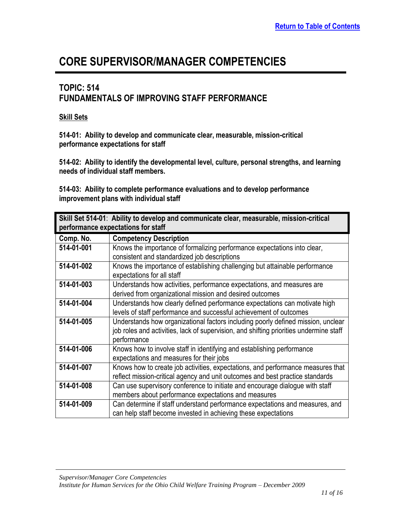### <span id="page-10-0"></span>**TOPIC: 514 FUNDAMENTALS OF IMPROVING STAFF PERFORMANCE**

#### **Skill Sets**

**514-01: Ability to develop and communicate clear, measurable, mission-critical performance expectations for staff**

**514-02: Ability to identify the developmental level, culture, personal strengths, and learning needs of individual staff members.**

**514-03: Ability to complete performance evaluations and to develop performance improvement plans with individual staff**

<span id="page-10-1"></span>

| Skill Set 514-01: Ability to develop and communicate clear, measurable, mission-critical<br>performance expectations for staff |                                                                                                                                    |
|--------------------------------------------------------------------------------------------------------------------------------|------------------------------------------------------------------------------------------------------------------------------------|
| Comp. No.                                                                                                                      | <b>Competency Description</b>                                                                                                      |
| 514-01-001                                                                                                                     | Knows the importance of formalizing performance expectations into clear,                                                           |
|                                                                                                                                | consistent and standardized job descriptions                                                                                       |
| 514-01-002                                                                                                                     | Knows the importance of establishing challenging but attainable performance                                                        |
|                                                                                                                                | expectations for all staff                                                                                                         |
| 514-01-003                                                                                                                     | Understands how activities, performance expectations, and measures are<br>derived from organizational mission and desired outcomes |
| 514-01-004                                                                                                                     | Understands how clearly defined performance expectations can motivate high                                                         |
|                                                                                                                                | levels of staff performance and successful achievement of outcomes                                                                 |
| 514-01-005                                                                                                                     | Understands how organizational factors including poorly defined mission, unclear                                                   |
|                                                                                                                                | job roles and activities, lack of supervision, and shifting priorities undermine staff                                             |
|                                                                                                                                | performance                                                                                                                        |
| 514-01-006                                                                                                                     | Knows how to involve staff in identifying and establishing performance                                                             |
|                                                                                                                                | expectations and measures for their jobs                                                                                           |
| 514-01-007                                                                                                                     | Knows how to create job activities, expectations, and performance measures that                                                    |
|                                                                                                                                | reflect mission-critical agency and unit outcomes and best practice standards                                                      |
| 514-01-008                                                                                                                     | Can use supervisory conference to initiate and encourage dialogue with staff                                                       |
|                                                                                                                                | members about performance expectations and measures                                                                                |
| 514-01-009                                                                                                                     | Can determine if staff understand performance expectations and measures, and                                                       |
|                                                                                                                                | can help staff become invested in achieving these expectations                                                                     |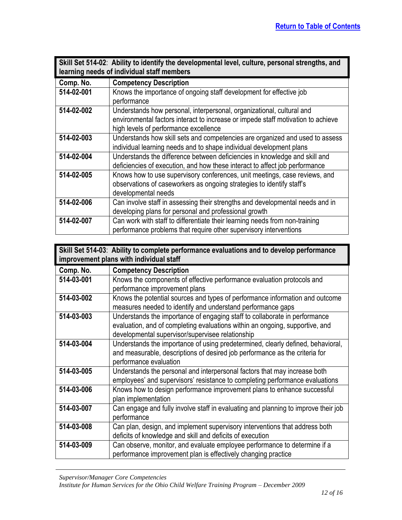<span id="page-11-0"></span>

| Skill Set 514-02: Ability to identify the developmental level, culture, personal strengths, and<br>learning needs of individual staff members |                                                                                                                                                                                                    |
|-----------------------------------------------------------------------------------------------------------------------------------------------|----------------------------------------------------------------------------------------------------------------------------------------------------------------------------------------------------|
| Comp. No.                                                                                                                                     | <b>Competency Description</b>                                                                                                                                                                      |
| 514-02-001                                                                                                                                    | Knows the importance of ongoing staff development for effective job<br>performance                                                                                                                 |
| 514-02-002                                                                                                                                    | Understands how personal, interpersonal, organizational, cultural and<br>environmental factors interact to increase or impede staff motivation to achieve<br>high levels of performance excellence |
| 514-02-003                                                                                                                                    | Understands how skill sets and competencies are organized and used to assess<br>individual learning needs and to shape individual development plans                                                |
| 514-02-004                                                                                                                                    | Understands the difference between deficiencies in knowledge and skill and<br>deficiencies of execution, and how these interact to affect job performance                                          |
| 514-02-005                                                                                                                                    | Knows how to use supervisory conferences, unit meetings, case reviews, and<br>observations of caseworkers as ongoing strategies to identify staff's<br>developmental needs                         |
| 514-02-006                                                                                                                                    | Can involve staff in assessing their strengths and developmental needs and in<br>developing plans for personal and professional growth                                                             |
| 514-02-007                                                                                                                                    | Can work with staff to differentiate their learning needs from non-training<br>performance problems that require other supervisory interventions                                                   |

<span id="page-11-1"></span>

|            | Skill Set 514-03: Ability to complete performance evaluations and to develop performance<br>improvement plans with individual staff |
|------------|-------------------------------------------------------------------------------------------------------------------------------------|
| Comp. No.  | <b>Competency Description</b>                                                                                                       |
| 514-03-001 | Knows the components of effective performance evaluation protocols and                                                              |
|            | performance improvement plans                                                                                                       |
| 514-03-002 | Knows the potential sources and types of performance information and outcome                                                        |
|            | measures needed to identify and understand performance gaps                                                                         |
| 514-03-003 | Understands the importance of engaging staff to collaborate in performance                                                          |
|            | evaluation, and of completing evaluations within an ongoing, supportive, and                                                        |
|            | developmental supervisor/supervisee relationship                                                                                    |
| 514-03-004 | Understands the importance of using predetermined, clearly defined, behavioral,                                                     |
|            | and measurable, descriptions of desired job performance as the criteria for                                                         |
|            | performance evaluation                                                                                                              |
| 514-03-005 | Understands the personal and interpersonal factors that may increase both                                                           |
|            | employees' and supervisors' resistance to completing performance evaluations                                                        |
| 514-03-006 | Knows how to design performance improvement plans to enhance successful                                                             |
|            | plan implementation                                                                                                                 |
| 514-03-007 | Can engage and fully involve staff in evaluating and planning to improve their job                                                  |
|            | performance                                                                                                                         |
| 514-03-008 | Can plan, design, and implement supervisory interventions that address both                                                         |
|            | deficits of knowledge and skill and deficits of execution                                                                           |
| 514-03-009 | Can observe, monitor, and evaluate employee performance to determine if a                                                           |
|            | performance improvement plan is effectively changing practice                                                                       |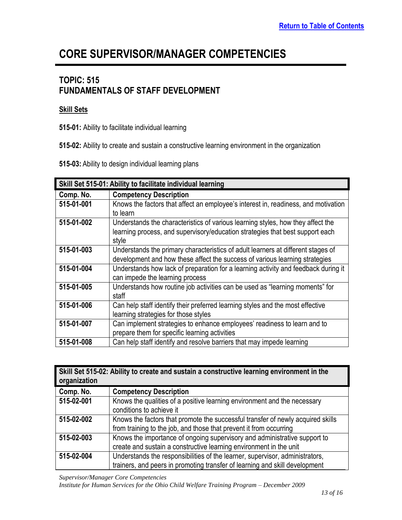### <span id="page-12-0"></span>**TOPIC: 515 FUNDAMENTALS OF STAFF DEVELOPMENT**

#### **Skill Sets**

**515-01:** Ability to facilitate individual learning

**515-02:** Ability to create and sustain a constructive learning environment in the organization

**515-03:** Ability to design individual learning plans

<span id="page-12-1"></span>

| Skill Set 515-01: Ability to facilitate individual learning |                                                                                                                                                                           |
|-------------------------------------------------------------|---------------------------------------------------------------------------------------------------------------------------------------------------------------------------|
| Comp. No.                                                   | <b>Competency Description</b>                                                                                                                                             |
| 515-01-001                                                  | Knows the factors that affect an employee's interest in, readiness, and motivation<br>to learn                                                                            |
| 515-01-002                                                  | Understands the characteristics of various learning styles, how they affect the<br>learning process, and supervisory/education strategies that best support each<br>style |
| 515-01-003                                                  | Understands the primary characteristics of adult learners at different stages of<br>development and how these affect the success of various learning strategies           |
| 515-01-004                                                  | Understands how lack of preparation for a learning activity and feedback during it<br>can impede the learning process                                                     |
| 515-01-005                                                  | Understands how routine job activities can be used as "learning moments" for<br>staff                                                                                     |
| 515-01-006                                                  | Can help staff identify their preferred learning styles and the most effective<br>learning strategies for those styles                                                    |
| 515-01-007                                                  | Can implement strategies to enhance employees' readiness to learn and to<br>prepare them for specific learning activities                                                 |
| 515-01-008                                                  | Can help staff identify and resolve barriers that may impede learning                                                                                                     |

<span id="page-12-2"></span>

| Skill Set 515-02: Ability to create and sustain a constructive learning environment in the<br>organization |                                                                                 |
|------------------------------------------------------------------------------------------------------------|---------------------------------------------------------------------------------|
| Comp. No.                                                                                                  | <b>Competency Description</b>                                                   |
| 515-02-001                                                                                                 | Knows the qualities of a positive learning environment and the necessary        |
|                                                                                                            | conditions to achieve it                                                        |
| 515-02-002                                                                                                 | Knows the factors that promote the successful transfer of newly acquired skills |
|                                                                                                            | from training to the job, and those that prevent it from occurring              |
| 515-02-003                                                                                                 | Knows the importance of ongoing supervisory and administrative support to       |
|                                                                                                            | create and sustain a constructive learning environment in the unit              |
| 515-02-004                                                                                                 | Understands the responsibilities of the learner, supervisor, administrators,    |
|                                                                                                            | trainers, and peers in promoting transfer of learning and skill development     |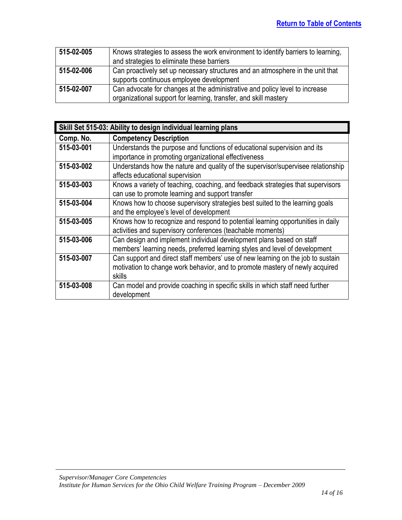| 515-02-005 | Knows strategies to assess the work environment to identify barriers to learning, |
|------------|-----------------------------------------------------------------------------------|
|            | and strategies to eliminate these barriers                                        |
| 515-02-006 | Can proactively set up necessary structures and an atmosphere in the unit that    |
|            | supports continuous employee development                                          |
| 515-02-007 | Can advocate for changes at the administrative and policy level to increase       |
|            | organizational support for learning, transfer, and skill mastery                  |

<span id="page-13-0"></span>

| Skill Set 515-03: Ability to design individual learning plans |                                                                                  |
|---------------------------------------------------------------|----------------------------------------------------------------------------------|
| Comp. No.                                                     | <b>Competency Description</b>                                                    |
| 515-03-001                                                    | Understands the purpose and functions of educational supervision and its         |
|                                                               | importance in promoting organizational effectiveness                             |
| 515-03-002                                                    | Understands how the nature and quality of the supervisor/supervisee relationship |
|                                                               | affects educational supervision                                                  |
| 515-03-003                                                    | Knows a variety of teaching, coaching, and feedback strategies that supervisors  |
|                                                               | can use to promote learning and support transfer                                 |
| 515-03-004                                                    | Knows how to choose supervisory strategies best suited to the learning goals     |
|                                                               | and the employee's level of development                                          |
| 515-03-005                                                    | Knows how to recognize and respond to potential learning opportunities in daily  |
|                                                               | activities and supervisory conferences (teachable moments)                       |
| 515-03-006                                                    | Can design and implement individual development plans based on staff             |
|                                                               | members' learning needs, preferred learning styles and level of development      |
| 515-03-007                                                    | Can support and direct staff members' use of new learning on the job to sustain  |
|                                                               | motivation to change work behavior, and to promote mastery of newly acquired     |
|                                                               | skills                                                                           |
| 515-03-008                                                    | Can model and provide coaching in specific skills in which staff need further    |
|                                                               | development                                                                      |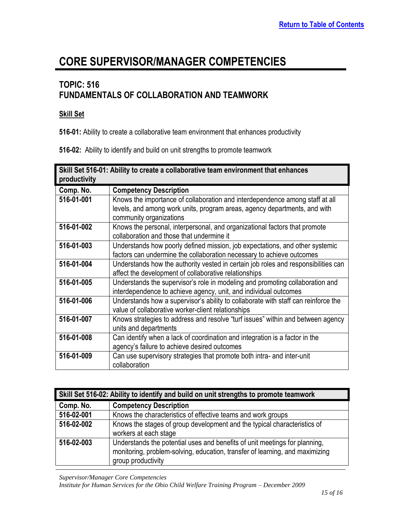### <span id="page-14-0"></span>**TOPIC: 516 FUNDAMENTALS OF COLLABORATION AND TEAMWORK**

#### **Skill Set**

**516-01:** Ability to create a collaborative team environment that enhances productivity

**516-02:** Ability to identify and build on unit strengths to promote teamwork

<span id="page-14-1"></span>

| productivity | Skill Set 516-01: Ability to create a collaborative team environment that enhances |
|--------------|------------------------------------------------------------------------------------|
| Comp. No.    | <b>Competency Description</b>                                                      |
| 516-01-001   | Knows the importance of collaboration and interdependence among staff at all       |
|              | levels, and among work units, program areas, agency departments, and with          |
|              | community organizations                                                            |
| 516-01-002   | Knows the personal, interpersonal, and organizational factors that promote         |
|              | collaboration and those that undermine it                                          |
| 516-01-003   | Understands how poorly defined mission, job expectations, and other systemic       |
|              | factors can undermine the collaboration necessary to achieve outcomes              |
| 516-01-004   | Understands how the authority vested in certain job roles and responsibilities can |
|              | affect the development of collaborative relationships                              |
| 516-01-005   | Understands the supervisor's role in modeling and promoting collaboration and      |
|              | interdependence to achieve agency, unit, and individual outcomes                   |
| 516-01-006   | Understands how a supervisor's ability to collaborate with staff can reinforce the |
|              | value of collaborative worker-client relationships                                 |
| 516-01-007   | Knows strategies to address and resolve "turf issues" within and between agency    |
|              | units and departments                                                              |
| 516-01-008   | Can identify when a lack of coordination and integration is a factor in the        |
|              | agency's failure to achieve desired outcomes                                       |
| 516-01-009   | Can use supervisory strategies that promote both intra- and inter-unit             |
|              | collaboration                                                                      |

<span id="page-14-2"></span>

| Skill Set 516-02: Ability to identify and build on unit strengths to promote teamwork |                                                                                                                                                                                  |
|---------------------------------------------------------------------------------------|----------------------------------------------------------------------------------------------------------------------------------------------------------------------------------|
| Comp. No.                                                                             | <b>Competency Description</b>                                                                                                                                                    |
| 516-02-001                                                                            | Knows the characteristics of effective teams and work groups                                                                                                                     |
| 516-02-002                                                                            | Knows the stages of group development and the typical characteristics of<br>workers at each stage                                                                                |
| 516-02-003                                                                            | Understands the potential uses and benefits of unit meetings for planning,<br>monitoring, problem-solving, education, transfer of learning, and maximizing<br>group productivity |